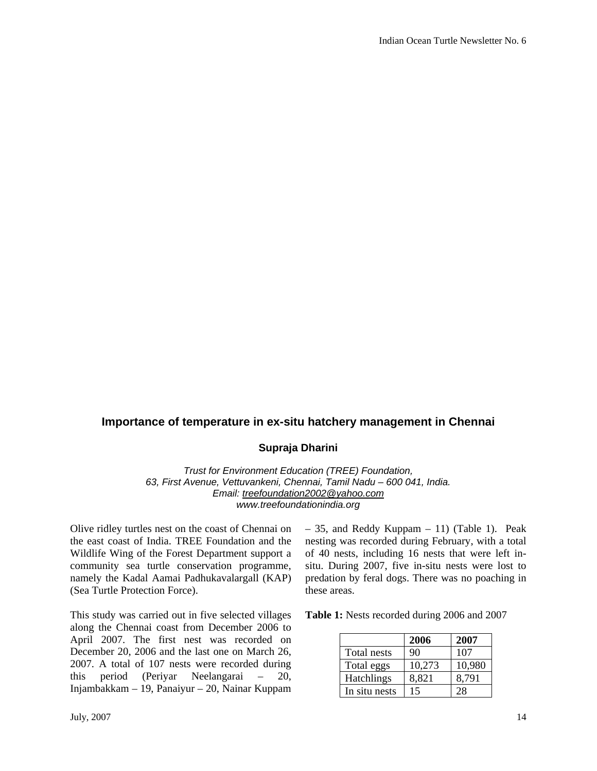## **Importance of temperature in ex-situ hatchery management in Chennai**

## **Supraja Dharini**

*Trust for Environment Education (TREE) Foundation, 63, First Avenue, Vettuvankeni, Chennai, Tamil Nadu – 600 041, India. Email: treefoundation2002@yahoo.com www.treefoundationindia.org* 

Olive ridley turtles nest on the coast of Chennai on the east coast of India. TREE Foundation and the Wildlife Wing of the Forest Department support a community sea turtle conservation programme, namely the Kadal Aamai Padhukavalargall (KAP) (Sea Turtle Protection Force).

This study was carried out in five selected villages along the Chennai coast from December 2006 to April 2007. The first nest was recorded on December 20, 2006 and the last one on March 26, 2007. A total of 107 nests were recorded during this period (Periyar Neelangarai – 20, Injambakkam – 19, Panaiyur – 20, Nainar Kuppam – 35, and Reddy Kuppam – 11) (Table 1). Peak nesting was recorded during February, with a total of 40 nests, including 16 nests that were left insitu. During 2007, five in-situ nests were lost to predation by feral dogs. There was no poaching in these areas.

**Table 1:** Nests recorded during 2006 and 2007

|                   | 2006   | 2007   |
|-------------------|--------|--------|
| Total nests       | 90     | 107    |
| Total eggs        | 10,273 | 10,980 |
| <b>Hatchlings</b> | 8.821  | 8,791  |
| In situ nests     | 15     | 28     |